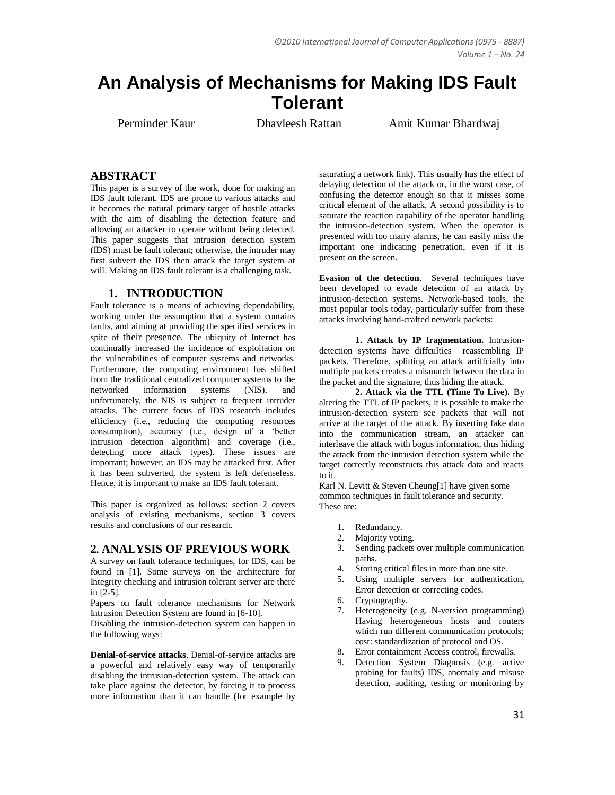# **An Analysis of Mechanisms for Making IDS Fault Tolerant**

Perminder Kaur Dhavleesh Rattan Amit Kumar Bhardwai

## **ABSTRACT**

This paper is a survey of the work, done for making an IDS fault tolerant. IDS are prone to various attacks and it becomes the natural primary target of hostile attacks with the aim of disabling the detection feature and allowing an attacker to operate without being detected. This paper suggests that intrusion detection system (IDS) must be fault tolerant; otherwise, the intruder may first subvert the IDS then attack the target system at will. Making an IDS fault tolerant is a challenging task.

#### **1. INTRODUCTION**

Fault tolerance is a means of achieving dependability, working under the assumption that a system contains faults, and aiming at providing the specified services in spite of their presence. The ubiquity of Internet has continually increased the incidence of exploitation on the vulnerabilities of computer systems and networks. Furthermore, the computing environment has shifted from the traditional centralized computer systems to the networked information systems (NIS), and unfortunately, the NIS is subject to frequent intruder attacks. The current focus of IDS research includes efficiency (i.e., reducing the computing resources consumption), accuracy (i.e., design of a "better intrusion detection algorithm) and coverage (i.e., detecting more attack types). These issues are important; however, an IDS may be attacked first. After it has been subverted, the system is left defenseless. Hence, it is important to make an IDS fault tolerant.

This paper is organized as follows: section 2 covers analysis of existing mechanisms, section 3 covers results and conclusions of our research.

### **2. ANALYSIS OF PREVIOUS WORK**

A survey on fault tolerance techniques, for IDS, can be found in [1]. Some surveys on the architecture for Integrity checking and intrusion tolerant server are there in [2-5].

Papers on fault tolerance mechanisms for Network Intrusion Detection System are found in [6-10].

Disabling the intrusion-detection system can happen in the following ways:

**Denial-of-service attacks**. Denial-of-service attacks are a powerful and relatively easy way of temporarily disabling the intrusion-detection system. The attack can take place against the detector, by forcing it to process more information than it can handle (for example by

saturating a network link). This usually has the effect of delaying detection of the attack or, in the worst case, of confusing the detector enough so that it misses some critical element of the attack. A second possibility is to saturate the reaction capability of the operator handling the intrusion-detection system. When the operator is presented with too many alarms, he can easily miss the important one indicating penetration, even if it is present on the screen.

**Evasion of the detection**. Several techniques have been developed to evade detection of an attack by intrusion-detection systems. Network-based tools, the most popular tools today, particularly suffer from these attacks involving hand-crafted network packets:

**1. Attack by IP fragmentation.** Intrusiondetection systems have diffculties reassembling IP packets. Therefore, splitting an attack artiffcially into multiple packets creates a mismatch between the data in the packet and the signature, thus hiding the attack.

**2. Attack via the TTL (Time To Live).** By altering the TTL of IP packets, it is possible to make the intrusion-detection system see packets that will not arrive at the target of the attack. By inserting fake data into the communication stream, an attacker can interleave the attack with bogus information, thus hiding the attack from the intrusion detection system while the target correctly reconstructs this attack data and reacts to it.

Karl N. Levitt & Steven Cheung[1] have given some common techniques in fault tolerance and security. These are:

- 1. Redundancy.
- 2. Majority voting.
- 3. Sending packets over multiple communication paths.
- 4. Storing critical files in more than one site.
- 5. Using multiple servers for authentication, Error detection or correcting codes.
- 6. Cryptography.
- 7. Heterogeneity (e.g. N-version programming) Having heterogeneous hosts and routers which run different communication protocols; cost: standardization of protocol and OS.
- 8. Error containment Access control, firewalls.
- 9. Detection System Diagnosis (e.g. active probing for faults) IDS, anomaly and misuse detection, auditing, testing or monitoring by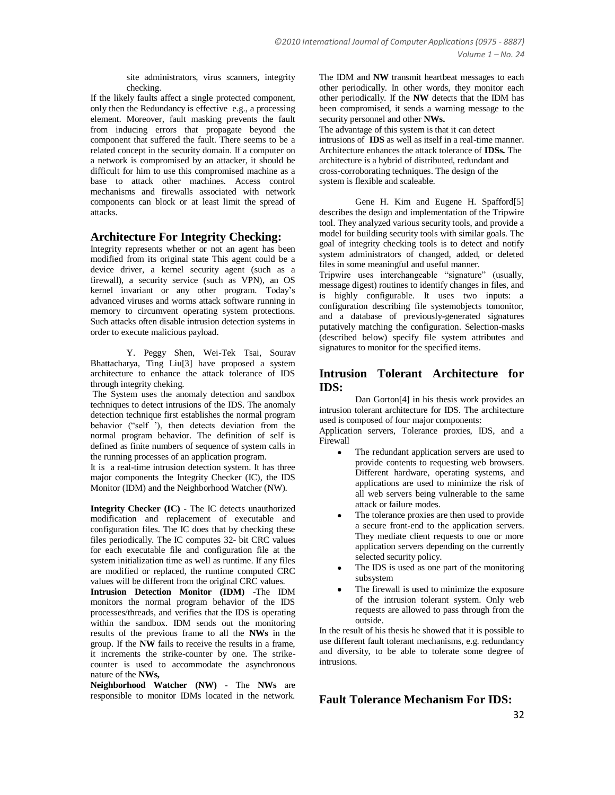site administrators, virus scanners, integrity checking.

If the likely faults affect a single protected component, only then the Redundancy is effective e.g., a processing element. Moreover, fault masking prevents the fault from inducing errors that propagate beyond the component that suffered the fault. There seems to be a related concept in the security domain. If a computer on a network is compromised by an attacker, it should be difficult for him to use this compromised machine as a base to attack other machines. Access control mechanisms and firewalls associated with network components can block or at least limit the spread of attacks.

#### **Architecture For Integrity Checking:**

Integrity represents whether or not an agent has been modified from its original state This agent could be a device driver, a kernel security agent (such as a firewall), a security service (such as VPN), an OS kernel invariant or any other program. Today"s advanced viruses and worms attack software running in memory to circumvent operating system protections. Such attacks often disable intrusion detection systems in order to execute malicious payload.

Y. Peggy Shen, Wei-Tek Tsai, Sourav Bhattacharya, Ting Liu[3] have proposed a system architecture to enhance the attack tolerance of IDS through integrity cheking.

The System uses the anomaly detection and sandbox techniques to detect intrusions of the IDS. The anomaly detection technique first establishes the normal program behavior ("self<sup>7</sup>), then detects deviation from the normal program behavior. The definition of self is defined as finite numbers of sequence of system calls in the running processes of an application program.

It is a real-time intrusion detection system. It has three major components the Integrity Checker (IC), the IDS Monitor (IDM) and the Neighborhood Watcher (NW).

**Integrity Checker (IC)** - The IC detects unauthorized modification and replacement of executable and configuration files. The IC does that by checking these files periodically. The IC computes 32- bit CRC values for each executable file and configuration file at the system initialization time as well as runtime. If any files are modified or replaced, the runtime computed CRC values will be different from the original CRC values.

**Intrusion Detection Monitor (IDM)** -The IDM monitors the normal program behavior of the IDS processes/threads, and verifies that the IDS is operating within the sandbox. IDM sends out the monitoring results of the previous frame to all the **NWs** in the group. If the **NW** fails to receive the results in a frame, it increments the strike-counter by one. The strikecounter is used to accommodate the asynchronous nature of the **NWs,**

**Neighborhood Watcher (NW)** - The **NWs** are responsible to monitor IDMs located in the network.

The IDM and **NW** transmit heartbeat messages to each other periodically. In other words, they monitor each other periodically. If the **NW** detects that the IDM has been compromised, it sends a warning message to the security personnel and other **NWs.**

The advantage of this system is that it can detect intrusions of **IDS** as well as itself in a real-time manner. Architecture enhances the attack tolerance of **IDSs.** The architecture is a hybrid of distributed, redundant and cross-corroborating techniques. The design of the system is flexible and scaleable.

Gene H. Kim and Eugene H. Spafford[5] describes the design and implementation of the Tripwire tool. They analyzed various security tools, and provide a model for building security tools with similar goals. The goal of integrity checking tools is to detect and notify system administrators of changed, added, or deleted files in some meaningful and useful manner.

Tripwire uses interchangeable "signature" (usually, message digest) routines to identify changes in files, and is highly configurable. It uses two inputs: a configuration describing file systemobjects tomonitor, and a database of previously-generated signatures putatively matching the configuration. Selection-masks (described below) specify file system attributes and signatures to monitor for the specified items.

#### **Intrusion Tolerant Architecture for IDS:**

Dan Gorton[4] in his thesis work provides an intrusion tolerant architecture for IDS. The architecture used is composed of four major components:

Application servers, Tolerance proxies, IDS, and a Firewall

- The redundant application servers are used to provide contents to requesting web browsers. Different hardware, operating systems, and applications are used to minimize the risk of all web servers being vulnerable to the same attack or failure modes.
- The tolerance proxies are then used to provide a secure front-end to the application servers. They mediate client requests to one or more application servers depending on the currently selected security policy.
- The IDS is used as one part of the monitoring subsystem
- The firewall is used to minimize the exposure of the intrusion tolerant system. Only web requests are allowed to pass through from the outside.

In the result of his thesis he showed that it is possible to use different fault tolerant mechanisms, e.g. redundancy and diversity, to be able to tolerate some degree of intrusions.

**Fault Tolerance Mechanism For IDS:**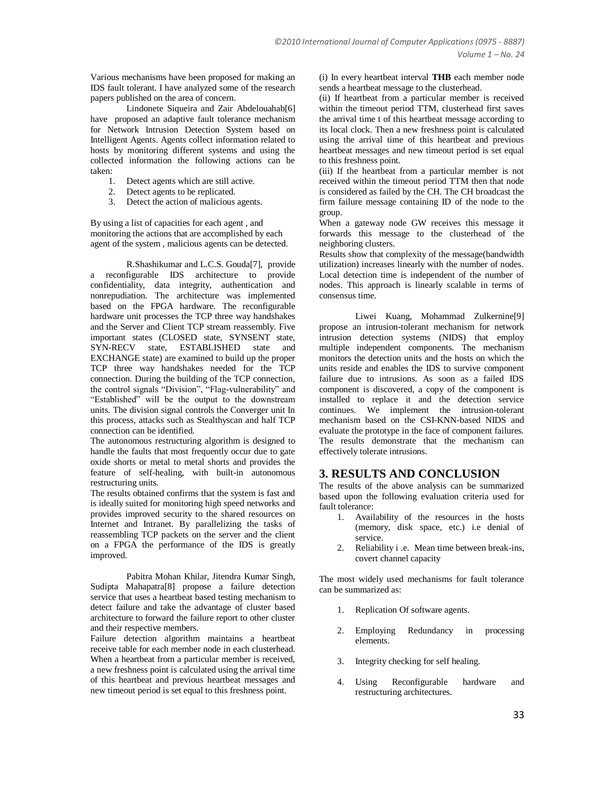Various mechanisms have been proposed for making an IDS fault tolerant. I have analyzed some of the research papers published on the area of concern.

Lindonete Siqueira and Zair Abdelouahab[6] have proposed an adaptive fault tolerance mechanism for Network Intrusion Detection System based on Intelligent Agents. Agents collect information related to hosts by monitoring different systems and using the collected information the following actions can be taken:

- 1. Detect agents which are still active.
- 2. Detect agents to be replicated.
- 3. Detect the action of malicious agents.

By using a list of capacities for each agent , and monitoring the actions that are accomplished by each agent of the system , malicious agents can be detected.

R.Shashikumar and L.C.S. Gouda[7], provide a reconfigurable IDS architecture to provide confidentiality, data integrity, authentication and nonrepudiation. The architecture was implemented based on the FPGA hardware. The reconfigurable hardware unit processes the TCP three way handshakes and the Server and Client TCP stream reassembly. Five important states (CLOSED state, SYNSENT state, SYN-RECV state, ESTABLISHED state and EXCHANGE state) are examined to build up the proper TCP three way handshakes needed for the TCP connection. During the building of the TCP connection, the control signals "Division", "Flag-vulnerability" and "Established" will be the output to the downstream units. The division signal controls the Converger unit In this process, attacks such as Stealthyscan and half TCP connection can be identified.

The autonomous restructuring algorithm is designed to handle the faults that most frequently occur due to gate oxide shorts or metal to metal shorts and provides the feature of self-healing, with built-in autonomous restructuring units.

The results obtained confirms that the system is fast and is ideally suited for monitoring high speed networks and provides improved security to the shared resources on Internet and Intranet. By parallelizing the tasks of reassembling TCP packets on the server and the client on a FPGA the performance of the IDS is greatly improved.

Pabitra Mohan Khilar, Jitendra Kumar Singh, Sudipta Mahapatra[8] propose a failure detection service that uses a heartbeat based testing mechanism to detect failure and take the advantage of cluster based architecture to forward the failure report to other cluster and their respective members.

Failure detection algorithm maintains a heartbeat receive table for each member node in each clusterhead. When a heartbeat from a particular member is received, a new freshness point is calculated using the arrival time of this heartbeat and previous heartbeat messages and new timeout period is set equal to this freshness point.

(i) In every heartbeat interval **THB** each member node sends a heartbeat message to the clusterhead.

(ii) If heartbeat from a particular member is received within the timeout period TTM, clusterhead first saves the arrival time t of this heartbeat message according to its local clock. Then a new freshness point is calculated using the arrival time of this heartbeat and previous heartbeat messages and new timeout period is set equal to this freshness point.

(iii) If the heartbeat from a particular member is not received within the timeout period TTM then that node is considered as failed by the CH. The CH broadcast the firm failure message containing ID of the node to the group.

When a gateway node GW receives this message it forwards this message to the clusterhead of the neighboring clusters.

Results show that complexity of the message(bandwidth utilization) increases linearly with the number of nodes. Local detection time is independent of the number of nodes. This approach is linearly scalable in terms of consensus time.

Liwei Kuang, Mohammad Zulkernine[9] propose an intrusion-tolerant mechanism for network intrusion detection systems (NIDS) that employ multiple independent components. The mechanism monitors the detection units and the hosts on which the units reside and enables the IDS to survive component failure due to intrusions. As soon as a failed IDS component is discovered, a copy of the component is installed to replace it and the detection service continues. We implement the intrusion-tolerant mechanism based on the CSI-KNN-based NIDS and evaluate the prototype in the face of component failures. The results demonstrate that the mechanism can effectively tolerate intrusions.

### **3. RESULTS AND CONCLUSION**

The results of the above analysis can be summarized based upon the following evaluation criteria used for fault tolerance:

- 1. Availability of the resources in the hosts (memory, disk space, etc.) i.e denial of service.
- 2. Reliability i .e. Mean time between break-ins, covert channel capacity

The most widely used mechanisms for fault tolerance can be summarized as:

- 1. Replication Of software agents.
- 2. Employing Redundancy in processing elements.
- 3. Integrity checking for self healing.
- 4. Using Reconfigurable hardware and restructuring architectures.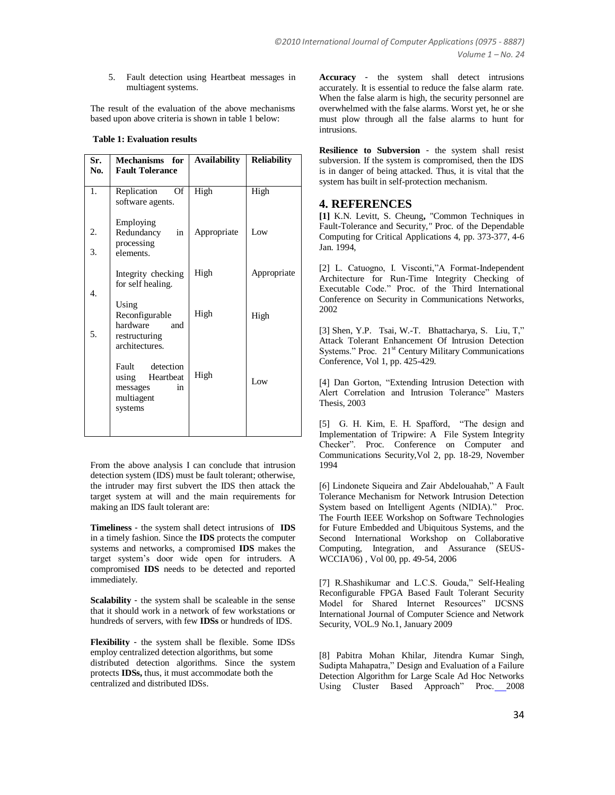#### 5. Fault detection using Heartbeat messages in multiagent systems.

The result of the evaluation of the above mechanisms based upon above criteria is shown in table 1 below:

#### **Table 1: Evaluation results**

| Sr.<br>No. | Mechanisms for<br><b>Fault Tolerance</b>                                         | <b>Availability</b> | <b>Reliability</b> |
|------------|----------------------------------------------------------------------------------|---------------------|--------------------|
| 1.         | Of<br>Replication<br>software agents.                                            | High                | High               |
| 2.<br>3.   | Employing<br>Redundancy<br>in<br>processing<br>elements.                         | Appropriate         | Low                |
| 4.         | Integrity checking<br>for self healing.                                          | High                | Appropriate        |
| 5.         | Using<br>Reconfigurable<br>hardware<br>and<br>restructuring<br>architectures.    | High                | High               |
|            | Fault detection<br>using<br>Heartbeat<br>messages<br>in<br>multiagent<br>systems | High                | Low                |

From the above analysis I can conclude that intrusion detection system (IDS) must be fault tolerant; otherwise, the intruder may first subvert the IDS then attack the target system at will and the main requirements for making an IDS fault tolerant are:

**Timeliness** - the system shall detect intrusions of **IDS**  in a timely fashion. Since the **IDS** protects the computer systems and networks, a compromised **IDS** makes the target system"s door wide open for intruders. A compromised **IDS** needs to be detected and reported immediately.

**Scalability** - the system shall be scaleable in the sense that it should work in a network of few workstations or hundreds of servers, with few **IDSs** or hundreds of IDS.

**Flexibility** - the system shall be flexible. Some IDSs employ centralized detection algorithms, but some distributed detection algorithms. Since the system protects **IDSs,** thus, it must accommodate both the centralized and distributed IDSs.

**Accuracy** - the system shall detect intrusions accurately. It is essential to reduce the false alarm rate. When the false alarm is high, the security personnel are overwhelmed with the false alarms. Worst yet, he or she must plow through all the false alarms to hunt for intrusions.

**Resilience to Subversion** - the system shall resist subversion. If the system is compromised, then the IDS is in danger of being attacked. Thus, it is vital that the system has built in self-protection mechanism.

#### **4. REFERENCES**

**[1]** K.N. Levitt, S. Cheung**,** "Common Techniques in Fault-Tolerance and Security*,"* Proc. of the Dependable Computing for Critical Applications 4, pp. 373-377, 4-6 Jan. 1994,

[2] L. Catuogno, I. Visconti,"A Format-Independent Architecture for Run-Time Integrity Checking of Executable Code." Proc. of the Third International Conference on Security in Communications Networks*,*  2002

[3] Shen, Y.P. Tsai, W.-T. Bhattacharya, S. Liu, T," Attack Tolerant Enhancement Of Intrusion Detection Systems." Proc. 21<sup>st</sup> Century Military Communications Conference, Vol 1, pp. 425-429.

[4] Dan Gorton, "Extending Intrusion Detection with Alert Correlation and Intrusion Tolerance" Masters Thesis, 2003

[5] G. H. Kim, E. H. Spafford, "The design and Implementation of Tripwire: A File System Integrity Checker". Proc. Conference on Computer and Communications Security,Vol 2, pp. 18-29*,* November 1994

[6] Lindonete Siqueira and Zair Abdelouahab," A Fault Tolerance Mechanism for Network Intrusion Detection System based on Intelligent Agents (NIDIA)." Proc. The Fourth IEEE Workshop on Software Technologies for Future Embedded and Ubiquitous Systems, and the Second International Workshop on Collaborative Computing, Integration, and Assurance (SEUS-WCCIA'06) , Vol 00, pp. 49-54, 2006

[7] R.Shashikumar and L.C.S. Gouda," Self-Healing Reconfigurable FPGA Based Fault Tolerant Security Model for Shared Internet Resources" IJCSNS International Journal of Computer Science and Network Security, VOL.9 No.1, January 2009

[8] Pabitra Mohan Khilar, Jitendra Kumar Singh, Sudipta Mahapatra," Design and Evaluation of a Failure Detection Algorithm for Large Scale Ad Hoc Networks Using Cluster Based Approach" Proc. 2008